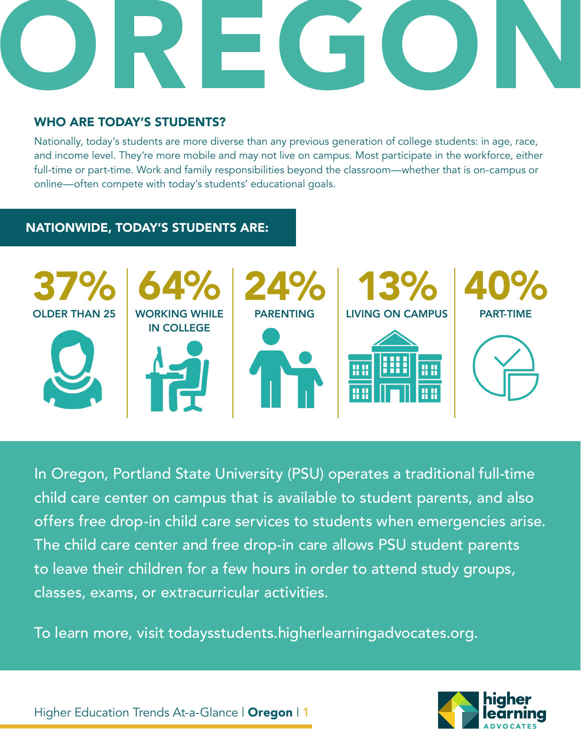# OREGON

#### WHO ARE TODAY'S STUDENTS?

Nationally, today's students are more diverse than any previous generation of college students: in age, race, and income level. They're more mobile and may not live on campus. Most participate in the workforce, either full-time or part-time. Work and family responsibilities beyond the classroom—whether that is on-campus or online—often compete with today's students' educational goals.

#### NATIONWIDE, TODAY'S STUDENTS ARE:



In Oregon, Portland State University (PSU) operates a traditional full-time child care center on campus that is available to student parents, and also offers free drop-in child care services to students when emergencies arise. The child care center and free drop-in care allows PSU student parents to leave their children for a few hours in order to attend study groups, classes, exams, or extracurricular activities.

To learn more, visit todaysstudents.higherlearningadvocates.org.

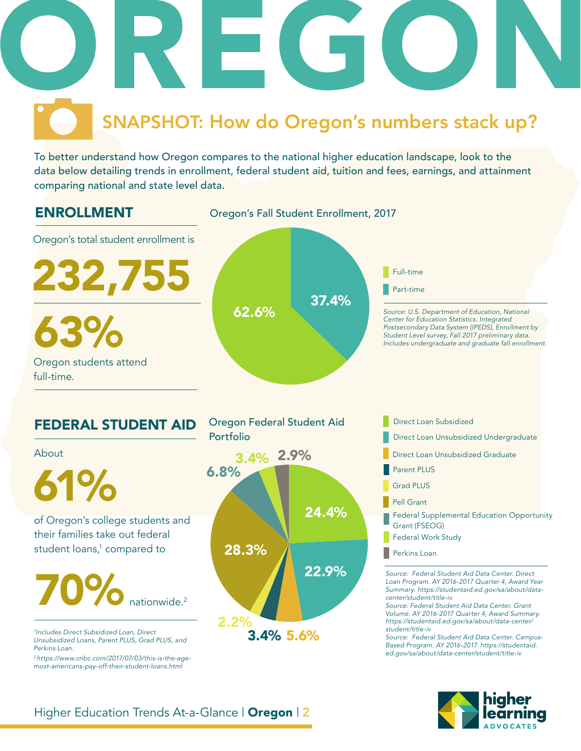

To better understand how Oregon compares to the national higher education landscape, look to the data below detailing trends in enrollment, federal student aid, tuition and fees, earnings, and attainment comparing national and state level data.



*most-americans-pay-off-their-student-loans.html*



#### Higher Education Trends At-a-Glance | Oregon | 2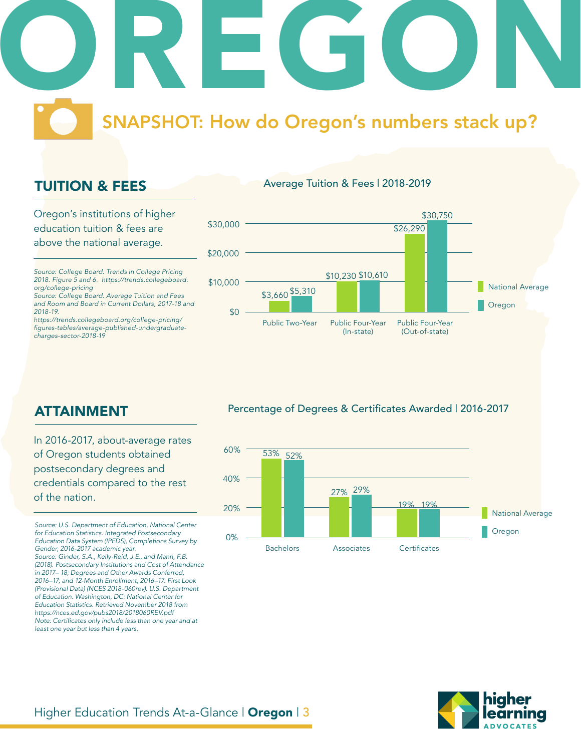### OREGON SNAPSHOT: How do Oregon's numbers stack up?

### TUITION & FEES

Oregon's institutions of higher education tuition & fees are above the national average.

*Source: College Board. Trends in College Pricing 2018. Figure 5 and 6. https://trends.collegeboard. org/college-pricing*

*Source: College Board. Average Tuition and Fees and Room and Board in Current Dollars, 2017-18 and 2018-19.*

*https://trends.collegeboard.org/college-pricing/* figures-tables/average-published-undergraduate*charges-sector-2018-19*



Average Tuition & Fees | 2018-2019

Percentage of Degrees & Certificates Awarded | 2016-2017



ATTAINMENT

In 2016-2017, about-average rates of Oregon students obtained postsecondary degrees and credentials compared to the rest of the nation.

*Source: U.S. Department of Education, National Center for Education Statistics. Integrated Postsecondary Education Data System (IPEDS), Completions Survey by Gender, 2016-2017 academic year. Source: Ginder, S.A., Kelly-Reid, J.E., and Mann, F.B. (2018). Postsecondary Institutions and Cost of Attendance in 2017– 18; Degrees and Other Awards Conferred, 2016–17; and 12-Month Enrollment, 2016–17: First Look (Provisional Data) (NCES 2018-060rev). U.S. Department of Education. Washington, DC: National Center for Education Statistics. Retrieved November 2018 from https://nces.ed.gov/pubs2018/2018060REV.pdf* Note: Certificates only include less than one year and at *least one year but less than 4 years.* 

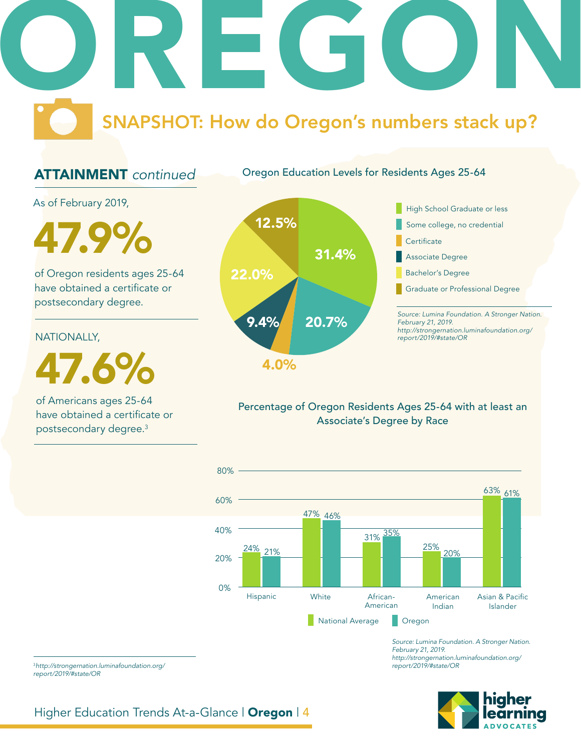# OREGON SNAPSHOT: How do Oregon's numbers stack up?

### ATTAINMENT *continued*

Oregon Education Levels for Residents Ages 25-64

As of February 2019,

47.9%

of Oregon residents ages 25-64 have obtained a certificate or postsecondary degree.

NATIONALLY,

47.6%

of Americans ages 25-64 have obtained a certificate or postsecondary degree.3



#### Percentage of Oregon Residents Ages 25-64 with at least an Associate's Degree by Race



*Source: Lumina Foundation. A Stronger Nation. February 21, 2019. http://strongernation.luminafoundation.org/ report/2019/#state/OR*

<sup>3</sup>*http://strongernation.luminafoundation.org/ report/2019/#state/OR*

Higher Education Trends At-a-Glance | Oregon | 4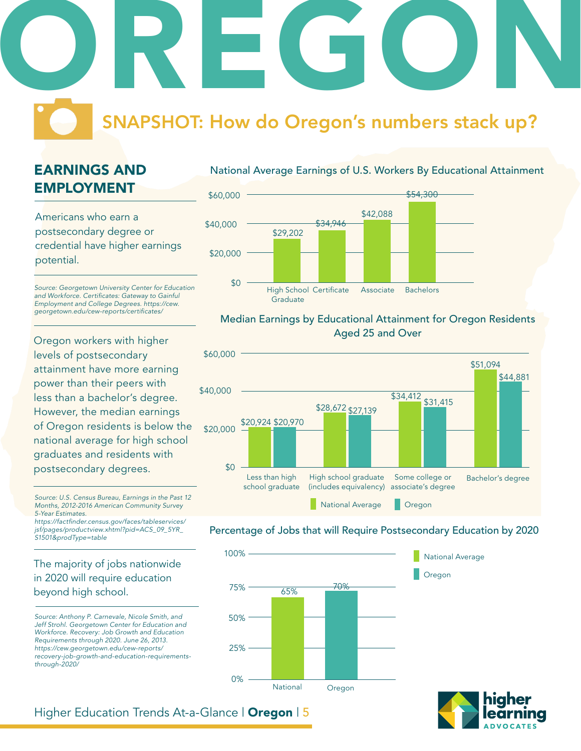## OREGON SNAPSHOT: How do Oregon's numbers stack up?

### EARNINGS AND EMPLOYMENT

Americans who earn a postsecondary degree or credential have higher earnings potential.

*Source: Georgetown University Center for Education*  and Workforce. Certificates: Gateway to Gainful *Employment and College Degrees. https://cew.* georgetown.edu/cew-reports/certificates/

Oregon workers with higher levels of postsecondary attainment have more earning power than their peers with less than a bachelor's degree. However, the median earnings of Oregon residents is below the national average for high school graduates and residents with postsecondary degrees.

*Source: U.S. Census Bureau, Earnings in the Past 12 Months, 2012-2016 American Community Survey 5-Year Estimates.*

https://factfinder.census.gov/faces/tableservices/ *jsf/pages/productview.xhtml?pid=ACS\_09\_5YR\_ S1501&prodType=table*

#### The majority of jobs nationwide in 2020 will require education beyond high school.

*Source: Anthony P. Carnevale, Nicole Smith, and Jeff Strohl. Georgetown Center for Education and Workforce. Recovery: Job Growth and Education Requirements through 2020. June 26, 2013. https://cew.georgetown.edu/cew-reports/ recovery-job-growth-and-education-requirementsthrough-2020/*

#### National Average Earnings of U.S. Workers By Educational Attainment



#### Median Earnings by Educational Attainment for Oregon Residents Aged 25 and Over



#### Percentage of Jobs that will Require Postsecondary Education by 2020





#### Higher Education Trends At-a-Glance | Oregon | 5